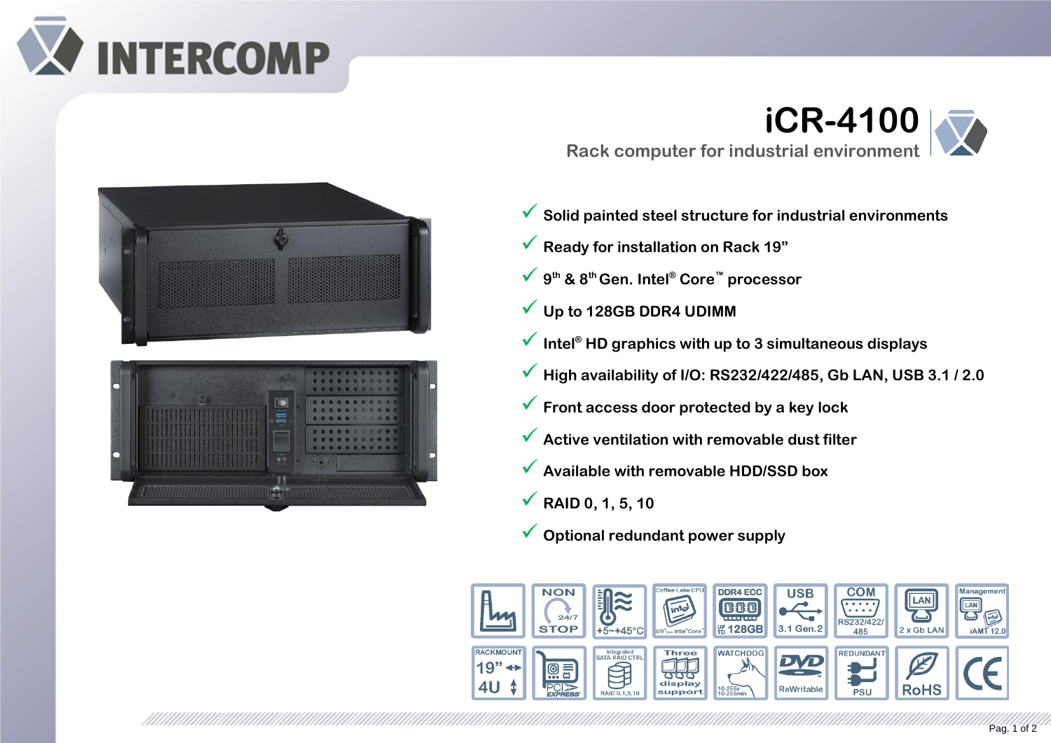





**Rack computer for industrial environment**

- **iCR-4100**
- ✓ **Solid painted steel structure for industrial environments**
- ✓ **Ready for installation on Rack 19"**
- ✓ **<sup>9</sup> th & 8th Gen. Intel® Core™ processor**
- ✓ **Up to 128GB DDR4 UDIMM**
- ✓ **Intel® HD graphics with up to 3 simultaneous displays**
- ✓ **High availability of I/O: RS232/422/485, Gb LAN, USB 3.1 / 2.0**
- ✓ **Front access door protected by a key lock**
- ✓ **Active ventilation with removable dust filter**
- ✓ **Available with removable HDD/SSD box**
- ✓ **RAID 0, 1, 5, 10**
- ✓ **Optional redundant power supply**